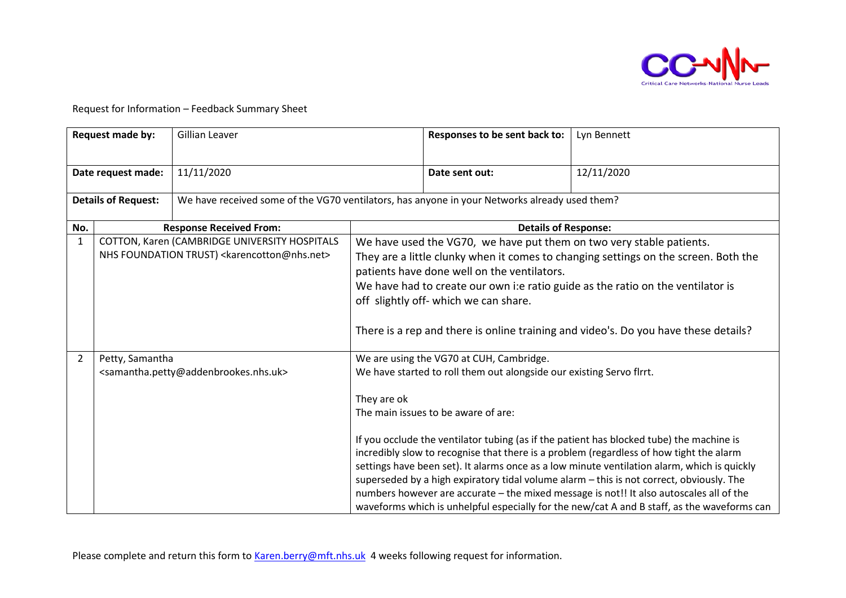

Request for Information – Feedback Summary Sheet

| Request made by:           |                 | Gillian Leaver                                                                                                     |                                                                                                                                                                                                                                                                                                                                                                                                                               | Responses to be sent back to:                                                                                                                           | Lyn Bennett                                                                                                                                                                                                                                                                                                                                                                                                                                                                                                                                                              |  |
|----------------------------|-----------------|--------------------------------------------------------------------------------------------------------------------|-------------------------------------------------------------------------------------------------------------------------------------------------------------------------------------------------------------------------------------------------------------------------------------------------------------------------------------------------------------------------------------------------------------------------------|---------------------------------------------------------------------------------------------------------------------------------------------------------|--------------------------------------------------------------------------------------------------------------------------------------------------------------------------------------------------------------------------------------------------------------------------------------------------------------------------------------------------------------------------------------------------------------------------------------------------------------------------------------------------------------------------------------------------------------------------|--|
| Date request made:         |                 | 11/11/2020                                                                                                         |                                                                                                                                                                                                                                                                                                                                                                                                                               | Date sent out:                                                                                                                                          | 12/11/2020                                                                                                                                                                                                                                                                                                                                                                                                                                                                                                                                                               |  |
| <b>Details of Request:</b> |                 | We have received some of the VG70 ventilators, has anyone in your Networks already used them?                      |                                                                                                                                                                                                                                                                                                                                                                                                                               |                                                                                                                                                         |                                                                                                                                                                                                                                                                                                                                                                                                                                                                                                                                                                          |  |
| No.                        |                 | <b>Response Received From:</b>                                                                                     |                                                                                                                                                                                                                                                                                                                                                                                                                               | <b>Details of Response:</b>                                                                                                                             |                                                                                                                                                                                                                                                                                                                                                                                                                                                                                                                                                                          |  |
| $\mathbf{1}$               |                 | COTTON, Karen (CAMBRIDGE UNIVERSITY HOSPITALS<br>NHS FOUNDATION TRUST) <karencotton@nhs.net></karencotton@nhs.net> | We have used the VG70, we have put them on two very stable patients.<br>They are a little clunky when it comes to changing settings on the screen. Both the<br>patients have done well on the ventilators.<br>We have had to create our own i:e ratio guide as the ratio on the ventilator is<br>off slightly off- which we can share.<br>There is a rep and there is online training and video's. Do you have these details? |                                                                                                                                                         |                                                                                                                                                                                                                                                                                                                                                                                                                                                                                                                                                                          |  |
| 2                          | Petty, Samantha | <samantha.petty@addenbrookes.nhs.uk></samantha.petty@addenbrookes.nhs.uk>                                          | They are ok                                                                                                                                                                                                                                                                                                                                                                                                                   | We are using the VG70 at CUH, Cambridge.<br>We have started to roll them out alongside our existing Servo flrrt.<br>The main issues to be aware of are: | If you occlude the ventilator tubing (as if the patient has blocked tube) the machine is<br>incredibly slow to recognise that there is a problem (regardless of how tight the alarm<br>settings have been set). It alarms once as a low minute ventilation alarm, which is quickly<br>superseded by a high expiratory tidal volume alarm - this is not correct, obviously. The<br>numbers however are accurate - the mixed message is not!! It also autoscales all of the<br>waveforms which is unhelpful especially for the new/cat A and B staff, as the waveforms can |  |

Please complete and return this form to [Karen.berry@mft.nhs.uk](mailto:Karen.berry@mft.nhs.uk) 4 weeks following request for information.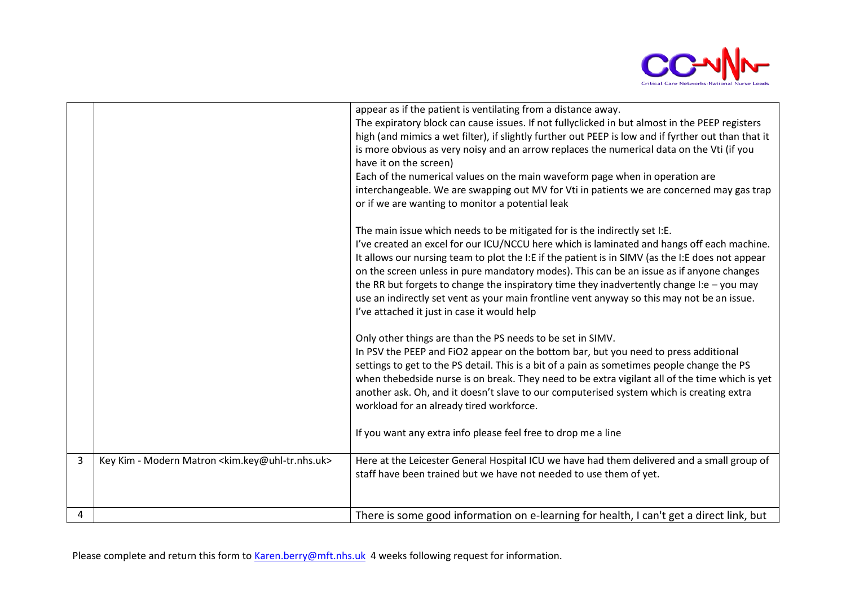

|   |                                                                         | appear as if the patient is ventilating from a distance away.<br>The expiratory block can cause issues. If not fullyclicked in but almost in the PEEP registers<br>high (and mimics a wet filter), if slightly further out PEEP is low and if fyrther out than that it<br>is more obvious as very noisy and an arrow replaces the numerical data on the Vti (if you<br>have it on the screen)<br>Each of the numerical values on the main waveform page when in operation are<br>interchangeable. We are swapping out MV for Vti in patients we are concerned may gas trap<br>or if we are wanting to monitor a potential leak |
|---|-------------------------------------------------------------------------|--------------------------------------------------------------------------------------------------------------------------------------------------------------------------------------------------------------------------------------------------------------------------------------------------------------------------------------------------------------------------------------------------------------------------------------------------------------------------------------------------------------------------------------------------------------------------------------------------------------------------------|
|   |                                                                         | The main issue which needs to be mitigated for is the indirectly set I:E.<br>I've created an excel for our ICU/NCCU here which is laminated and hangs off each machine.<br>It allows our nursing team to plot the I:E if the patient is in SIMV (as the I:E does not appear<br>on the screen unless in pure mandatory modes). This can be an issue as if anyone changes<br>the RR but forgets to change the inspiratory time they inadvertently change I:e $-$ you may<br>use an indirectly set vent as your main frontline vent anyway so this may not be an issue.<br>I've attached it just in case it would help            |
|   |                                                                         | Only other things are than the PS needs to be set in SIMV.<br>In PSV the PEEP and FiO2 appear on the bottom bar, but you need to press additional<br>settings to get to the PS detail. This is a bit of a pain as sometimes people change the PS<br>when the bedside nurse is on break. They need to be extra vigilant all of the time which is yet<br>another ask. Oh, and it doesn't slave to our computerised system which is creating extra<br>workload for an already tired workforce.                                                                                                                                    |
|   |                                                                         | If you want any extra info please feel free to drop me a line                                                                                                                                                                                                                                                                                                                                                                                                                                                                                                                                                                  |
| 3 | Key Kim - Modern Matron <kim.key@uhl-tr.nhs.uk></kim.key@uhl-tr.nhs.uk> | Here at the Leicester General Hospital ICU we have had them delivered and a small group of<br>staff have been trained but we have not needed to use them of yet.                                                                                                                                                                                                                                                                                                                                                                                                                                                               |
| 4 |                                                                         | There is some good information on e-learning for health, I can't get a direct link, but                                                                                                                                                                                                                                                                                                                                                                                                                                                                                                                                        |